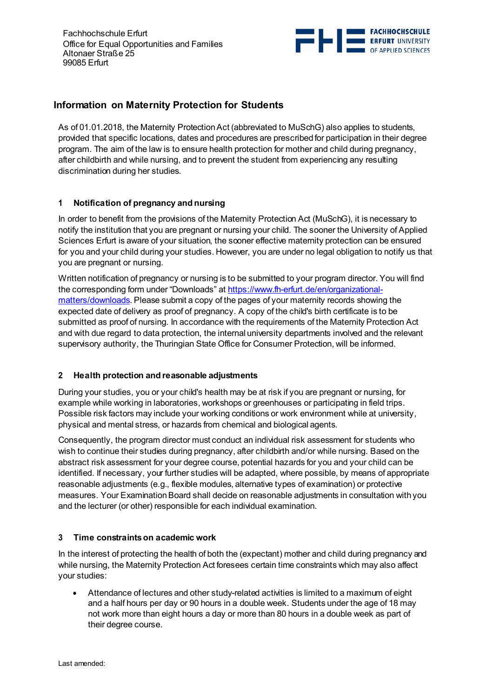

# **Information on Maternity Protection for Students**

As of 01.01.2018, the Maternity Protection Act (abbreviated to MuSchG) also applies to students, provided that specific locations, dates and procedures are prescribed for participation in their degree program. The aim of the law is to ensure health protection for mother and child during pregnancy, after childbirth and while nursing, and to prevent the student from experiencing any resulting discrimination during her studies.

## **1 Notification of pregnancy and nursing**

In order to benefit from the provisions of the Maternity Protection Act (MuSchG), it is necessary to notify the institution that you are pregnant or nursing your child. The sooner the University of Applied Sciences Erfurt is aware of your situation, the sooner effective maternity protection can be ensured for you and your child during your studies. However, you are under no legal obligation to notify us that you are pregnant or nursing.

Written notification of pregnancy or nursing is to be submitted to your program director. You will find the corresponding form under "Downloads" at [https://www.fh-erfurt.de/en/organizational](https://www.fh-erfurt.de/en/organizational-matters/downloads)[matters/downloads.](https://www.fh-erfurt.de/en/organizational-matters/downloads) Please submit a copy of the pages of your maternity records showing the expected date of delivery as proof of pregnancy. A copy of the child's birth certificate is to be submitted as proof of nursing. In accordance with the requirements of the Maternity Protection Act and with due regard to data protection, the internal university departments involved and the relevant supervisory authority, the Thuringian State Office for Consumer Protection, will be informed.

#### **2 Health protection and reasonable adjustments**

During your studies, you or your child's health may be at risk if you are pregnant or nursing, for example while working in laboratories, workshops or greenhouses or participating in field trips. Possible risk factors may include your working conditions or work environment while at university, physical and mental stress, or hazards from chemical and biological agents.

Consequently, the program director must conduct an individual risk assessment for students who wish to continue their studies during pregnancy, after childbirth and/or while nursing. Based on the abstract risk assessment for your degree course, potential hazards for you and your child can be identified. If necessary, your further studies will be adapted, where possible, by means of appropriate reasonable adjustments (e.g., flexible modules, alternative types of examination) or protective measures. Your Examination Board shall decide on reasonable adjustments in consultation with you and the lecturer (or other) responsible for each individual examination.

#### **3 Time constraints on academic work**

In the interest of protecting the health of both the (expectant) mother and child during pregnancy and while nursing, the Maternity Protection Act foresees certain time constraints which may also affect your studies:

• Attendance of lectures and other study-related activities is limited to a maximum of eight and a half hours per day or 90 hours in a double week. Students under the age of 18 may not work more than eight hours a day or more than 80 hours in a double week as part of their degree course.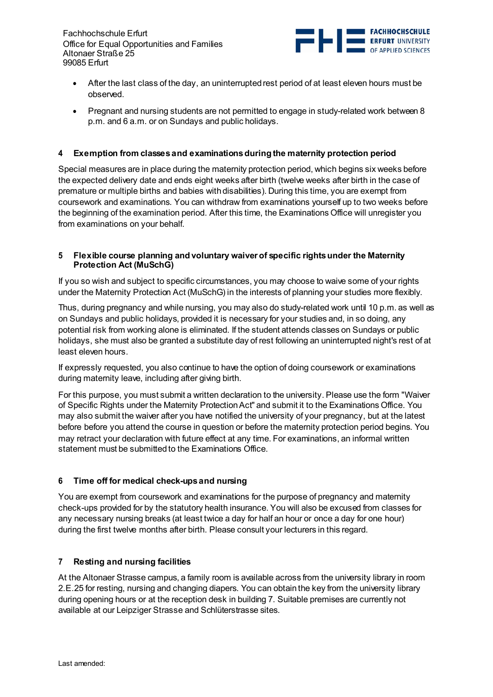

- After the last class of the day, an uninterrupted rest period of at least eleven hours must be observed.
- Pregnant and nursing students are not permitted to engage in study-related work between 8 p.m. and 6 a.m. or on Sundays and public holidays.

## **4 Exemption from classes and examinations during the maternity protection period**

Special measures are in place during the maternity protection period, which begins six weeks before the expected delivery date and ends eight weeks after birth (twelve weeks after birth in the case of premature or multiple births and babies with disabilities). During this time, you are exempt from coursework and examinations. You can withdraw from examinations yourself up to two weeks before the beginning of the examination period. After this time, the Examinations Office will unregister you from examinations on your behalf.

#### **5 Flexible course planning and voluntary waiver of specific rights under the Maternity Protection Act (MuSchG)**

If you so wish and subject to specific circumstances, you may choose to waive some of your rights under the Maternity Protection Act (MuSchG) in the interests of planning your studies more flexibly.

Thus, during pregnancy and while nursing, you may also do study-related work until 10 p.m. as well as on Sundays and public holidays, provided it is necessary for your studies and, in so doing, any potential risk from working alone is eliminated. If the student attends classes on Sundays or public holidays, she must also be granted a substitute day of rest following an uninterrupted night's rest of at least eleven hours.

If expressly requested, you also continue to have the option of doing coursework or examinations during maternity leave, including after giving birth.

For this purpose, you must submit a written declaration to the university. Please use the form "Waiver of Specific Rights under the Maternity Protection Act" and submit it to the Examinations Office. You may also submit the waiver after you have notified the university of your pregnancy, but at the latest before before you attend the course in question or before the maternity protection period begins. You may retract your declaration with future effect at any time. For examinations, an informal written statement must be submitted to the Examinations Office.

# **6 Time off for medical check-ups and nursing**

You are exempt from coursework and examinations for the purpose of pregnancy and maternity check-ups provided for by the statutory health insurance. You will also be excused from classes for any necessary nursing breaks (at least twice a day for half an hour or once a day for one hour) during the first twelve months after birth. Please consult your lecturers in this regard.

#### **7 Resting and nursing facilities**

At the Altonaer Strasse campus, a family room is available across from the university library in room 2.E.25 for resting, nursing and changing diapers. You can obtain the key from the university library during opening hours or at the reception desk in building 7. Suitable premises are currently not available at our Leipziger Strasse and Schlüterstrasse sites.